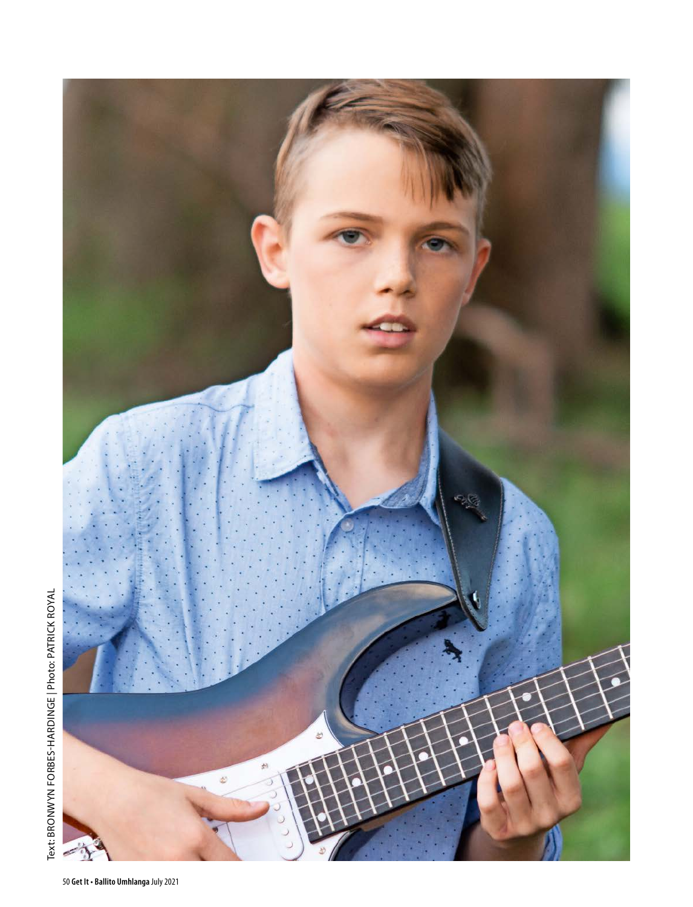